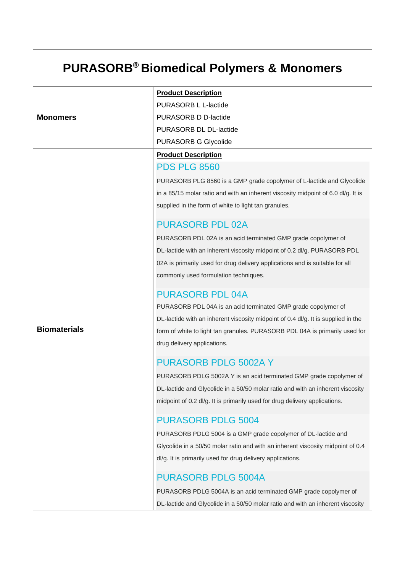# **PURASORB® Biomedical Polymers & Monomers**

|                     | <b>Product Description</b>                                                        |
|---------------------|-----------------------------------------------------------------------------------|
|                     | PURASORB L L-lactide                                                              |
| <b>Monomers</b>     | PURASORB D D-lactide                                                              |
|                     | PURASORB DL DL-lactide                                                            |
|                     | <b>PURASORB G Glycolide</b>                                                       |
|                     | <b>Product Description</b>                                                        |
|                     | <b>PDS PLG 8560</b>                                                               |
|                     | PURASORB PLG 8560 is a GMP grade copolymer of L-lactide and Glycolide             |
|                     | in a 85/15 molar ratio and with an inherent viscosity midpoint of 6.0 dl/g. It is |
|                     | supplied in the form of white to light tan granules.                              |
|                     | <b>PURASORB PDL 02A</b>                                                           |
|                     | PURASORB PDL 02A is an acid terminated GMP grade copolymer of                     |
|                     | DL-lactide with an inherent viscosity midpoint of 0.2 dl/g. PURASORB PDL          |
|                     | 02A is primarily used for drug delivery applications and is suitable for all      |
|                     | commonly used formulation techniques.                                             |
|                     | <b>PURASORB PDL 04A</b>                                                           |
|                     | PURASORB PDL 04A is an acid terminated GMP grade copolymer of                     |
|                     | DL-lactide with an inherent viscosity midpoint of 0.4 dl/g. It is supplied in the |
| <b>Biomaterials</b> | form of white to light tan granules. PURASORB PDL 04A is primarily used for       |
|                     | drug delivery applications.                                                       |
|                     | <b>PURASORB PDLG 5002A Y</b>                                                      |
|                     | PURASORB PDLG 5002A Y is an acid terminated GMP grade copolymer of                |
|                     | DL-lactide and Glycolide in a 50/50 molar ratio and with an inherent viscosity    |
|                     | midpoint of 0.2 dl/g. It is primarily used for drug delivery applications.        |
|                     | <b>PURASORB PDLG 5004</b>                                                         |
|                     | PURASORB PDLG 5004 is a GMP grade copolymer of DL-lactide and                     |
|                     | Glycolide in a 50/50 molar ratio and with an inherent viscosity midpoint of 0.4   |
|                     | dl/g. It is primarily used for drug delivery applications.                        |
|                     | <b>PURASORB PDLG 5004A</b>                                                        |
|                     | PURASORB PDLG 5004A is an acid terminated GMP grade copolymer of                  |
|                     | DL-lactide and Glycolide in a 50/50 molar ratio and with an inherent viscosity    |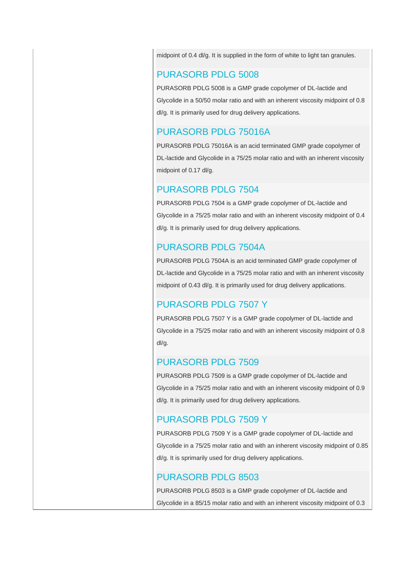midpoint of 0.4 dl/g. It is supplied in the form of white to light tan granules.

#### PURASORB PDLG 5008

PURASORB PDLG 5008 is a GMP grade copolymer of DL-lactide and Glycolide in a 50/50 molar ratio and with an inherent viscosity midpoint of 0.8 dl/g. It is primarily used for drug delivery applications.

#### PURASORB PDLG 75016A

PURASORB PDLG 75016A is an acid terminated GMP grade copolymer of DL-lactide and Glycolide in a 75/25 molar ratio and with an inherent viscosity midpoint of 0.17 dl/g.

#### PURASORB PDLG 7504

PURASORB PDLG 7504 is a GMP grade copolymer of DL-lactide and Glycolide in a 75/25 molar ratio and with an inherent viscosity midpoint of 0.4 dl/g. It is primarily used for drug delivery applications.

## PURASORB PDLG 7504A

PURASORB PDLG 7504A is an acid terminated GMP grade copolymer of DL-lactide and Glycolide in a 75/25 molar ratio and with an inherent viscosity midpoint of 0.43 dl/g. It is primarily used for drug delivery applications.

## PURASORB PDLG 7507 Y

PURASORB PDLG 7507 Y is a GMP grade copolymer of DL-lactide and Glycolide in a 75/25 molar ratio and with an inherent viscosity midpoint of 0.8 dl/g.

#### PURASORB PDLG 7509

PURASORB PDLG 7509 is a GMP grade copolymer of DL-lactide and Glycolide in a 75/25 molar ratio and with an inherent viscosity midpoint of 0.9 dl/g. It is primarily used for drug delivery applications.

#### PURASORB PDLG 7509 Y

PURASORB PDLG 7509 Y is a GMP grade copolymer of DL-lactide and Glycolide in a 75/25 molar ratio and with an inherent viscosity midpoint of 0.85 dl/g. It is sprimarily used for drug delivery applications.

#### PURASORB PDLG 8503

PURASORB PDLG 8503 is a GMP grade copolymer of DL-lactide and Glycolide in a 85/15 molar ratio and with an inherent viscosity midpoint of 0.3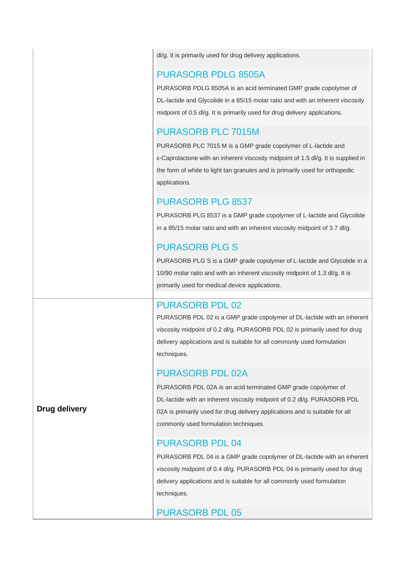dl/g. It is primarily used for drug delivery applications.

#### PURASORB PDLG 8505A

PURASORB PDLG 8505A is an acid terminated GMP grade copolymer of DL-lactide and Glycolide in a 85/15 molar ratio and with an inherent viscosity midpoint of 0.5 dl/g. It is primarily used for drug delivery applications.

## PURASORB PLC 7015M

PURASORB PLC 7015 M is a GMP grade copolymer of L-lactide and ε-Caprolactone with an inherent viscosity midpoint of 1.5 dl/g. It is supplied in the form of white to light tan granules and is primarily used for orthopedic applications.

## PURASORB PLG 8537

PURASORB PLG 8537 is a GMP grade copolymer of L-lactide and Glycolide in a 85/15 molar ratio and with an inherent viscosity midpoint of 3.7 dl/g.

## PURASORB PLG S

PURASORB PLG S is a GMP grade copolymer of L-lactide and Glycolide in a 10/90 molar ratio and with an inherent viscosity midpoint of 1.3 dl/g. It is primarily used for medical device applications.

#### PURASORB PDL 02

PURASORB PDL 02 is a GMP grade copolymer of DL-lactide with an inherent viscosity midpoint of 0.2 dl/g. PURASORB PDL 02 is primarily used for drug delivery applications and is suitable for all commonly used formulation techniques.

## PURASORB PDL 02A

PURASORB PDL 02A is an acid terminated GMP grade copolymer of DL-lactide with an inherent viscosity midpoint of 0.2 dl/g. PURASORB PDL 02A is primarily used for drug delivery applications and is suitable for all commonly used formulation techniques.

## PURASORB PDL 04

PURASORB PDL 04 is a GMP grade copolymer of DL-lactide with an inherent viscosity midpoint of 0.4 dl/g. PURASORB PDL 04 is primarily used for drug delivery applications and is suitable for all commonly used formulation techniques.

## PURASORB PDL 05

**Drug delivery**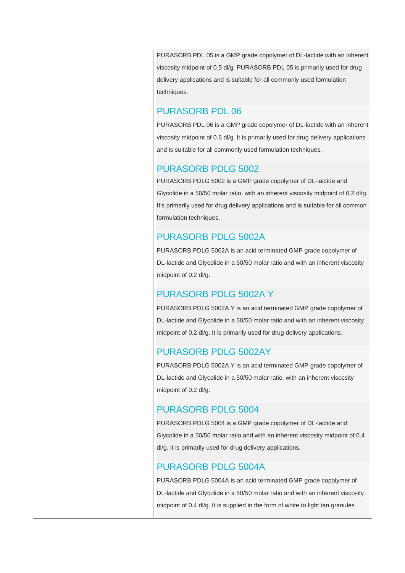PURASORB PDL 05 is a GMP grade copolymer of DL-lactide with an inherent viscosity midpoint of 0.5 dl/g. PURASORB PDL 05 is primarily used for drug delivery applications and is suitable for all commonly used formulation techniques.

## PURASORB PDL 06

PURASORB PDL 06 is a GMP grade copolymer of DL-lactide with an inherent viscosity midpoint of 0.6 dl/g. It is primarily used for drug delivery applications and is suitable for all commonly used formulation techniques.

## PURASORB PDLG 5002

PURASORB PDLG 5002 is a GMP grade copolymer of DL-lactide and Glycolide in a 50/50 molar ratio, with an inherent viscosity midpoint of 0.2 dl/g. It's primarily used for drug delivery applications and is suitable for all common formulation techniques.

## PURASORB PDLG 5002A

PURASORB PDLG 5002A is an acid terminated GMP grade copolymer of DL-lactide and Glycolide in a 50/50 molar ratio and with an inherent viscosity midpoint of 0.2 dl/g.

# PURASORB PDLG 5002A Y

PURASORB PDLG 5002A Y is an acid terminated GMP grade copolymer of DL-lactide and Glycolide in a 50/50 molar ratio and with an inherent viscosity midpoint of 0.2 dl/g. It is primarily used for drug delivery applications.

# PURASORB PDLG 5002AY

PURASORB PDLG 5002A Y is an acid terminated GMP grade copolymer of DL-lactide and Glycolide in a 50/50 molar ratio, with an inherent viscosity midpoint of 0.2 dl/g.

# PURASORB PDLG 5004

PURASORB PDLG 5004 is a GMP grade copolymer of DL-lactide and Glycolide in a 50/50 molar ratio and with an inherent viscosity midpoint of 0.4 dl/g. It is primarily used for drug delivery applications.

## PURASORB PDLG 5004A

PURASORB PDLG 5004A is an acid terminated GMP grade copolymer of DL-lactide and Glycolide in a 50/50 molar ratio and with an inherent viscosity midpoint of 0.4 dl/g. It is supplied in the form of white to light tan granules.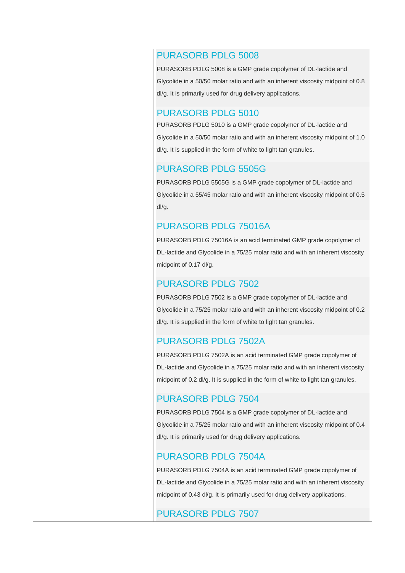#### PURASORB PDLG 5008

PURASORB PDLG 5008 is a GMP grade copolymer of DL-lactide and Glycolide in a 50/50 molar ratio and with an inherent viscosity midpoint of 0.8 dl/g. It is primarily used for drug delivery applications.

#### PURASORB PDLG 5010

PURASORB PDLG 5010 is a GMP grade copolymer of DL-lactide and Glycolide in a 50/50 molar ratio and with an inherent viscosity midpoint of 1.0 dl/g. It is supplied in the form of white to light tan granules.

#### PURASORB PDLG 5505G

PURASORB PDLG 5505G is a GMP grade copolymer of DL-lactide and Glycolide in a 55/45 molar ratio and with an inherent viscosity midpoint of 0.5 dl/g.

#### PURASORB PDLG 75016A

PURASORB PDLG 75016A is an acid terminated GMP grade copolymer of DL-lactide and Glycolide in a 75/25 molar ratio and with an inherent viscosity midpoint of 0.17 dl/g.

#### PURASORB PDLG 7502

PURASORB PDLG 7502 is a GMP grade copolymer of DL-lactide and Glycolide in a 75/25 molar ratio and with an inherent viscosity midpoint of 0.2 dl/g. It is supplied in the form of white to light tan granules.

#### PURASORB PDLG 7502A

PURASORB PDLG 7502A is an acid terminated GMP grade copolymer of DL-lactide and Glycolide in a 75/25 molar ratio and with an inherent viscosity midpoint of 0.2 dl/g. It is supplied in the form of white to light tan granules.

#### PURASORB PDLG 7504

PURASORB PDLG 7504 is a GMP grade copolymer of DL-lactide and Glycolide in a 75/25 molar ratio and with an inherent viscosity midpoint of 0.4 dl/g. It is primarily used for drug delivery applications.

#### PURASORB PDLG 7504A

PURASORB PDLG 7504A is an acid terminated GMP grade copolymer of DL-lactide and Glycolide in a 75/25 molar ratio and with an inherent viscosity midpoint of 0.43 dl/g. It is primarily used for drug delivery applications.

#### PURASORB PDLG 7507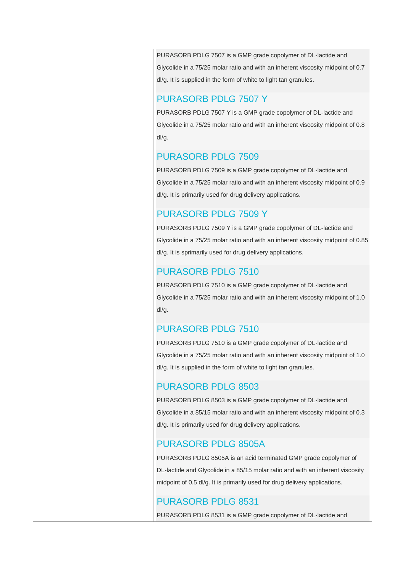PURASORB PDLG 7507 is a GMP grade copolymer of DL-lactide and Glycolide in a 75/25 molar ratio and with an inherent viscosity midpoint of 0.7 dl/g. It is supplied in the form of white to light tan granules.

#### PURASORB PDLG 7507 Y

PURASORB PDLG 7507 Y is a GMP grade copolymer of DL-lactide and Glycolide in a 75/25 molar ratio and with an inherent viscosity midpoint of 0.8 dl/g.

## PURASORB PDLG 7509

PURASORB PDLG 7509 is a GMP grade copolymer of DL-lactide and Glycolide in a 75/25 molar ratio and with an inherent viscosity midpoint of 0.9 dl/g. It is primarily used for drug delivery applications.

# PURASORB PDLG 7509 Y

PURASORB PDLG 7509 Y is a GMP grade copolymer of DL-lactide and Glycolide in a 75/25 molar ratio and with an inherent viscosity midpoint of 0.85 dl/g. It is sprimarily used for drug delivery applications.

# PURASORB PDLG 7510

PURASORB PDLG 7510 is a GMP grade copolymer of DL-lactide and Glycolide in a 75/25 molar ratio and with an inherent viscosity midpoint of 1.0 dl/g.

# PURASORB PDLG 7510

PURASORB PDLG 7510 is a GMP grade copolymer of DL-lactide and Glycolide in a 75/25 molar ratio and with an inherent viscosity midpoint of 1.0 dl/g. It is supplied in the form of white to light tan granules.

# PURASORB PDLG 8503

PURASORB PDLG 8503 is a GMP grade copolymer of DL-lactide and Glycolide in a 85/15 molar ratio and with an inherent viscosity midpoint of 0.3 dl/g. It is primarily used for drug delivery applications.

# PURASORB PDLG 8505A

PURASORB PDLG 8505A is an acid terminated GMP grade copolymer of DL-lactide and Glycolide in a 85/15 molar ratio and with an inherent viscosity midpoint of 0.5 dl/g. It is primarily used for drug delivery applications.

## PURASORB PDLG 8531

PURASORB PDLG 8531 is a GMP grade copolymer of DL-lactide and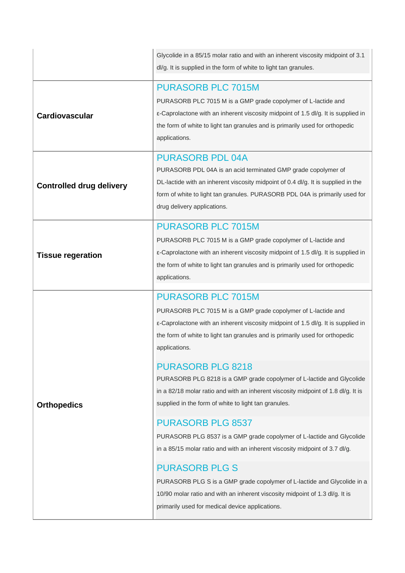|                                 | Glycolide in a 85/15 molar ratio and with an inherent viscosity midpoint of 3.1<br>dl/g. It is supplied in the form of white to light tan granules.                                                                                                                                         |
|---------------------------------|---------------------------------------------------------------------------------------------------------------------------------------------------------------------------------------------------------------------------------------------------------------------------------------------|
|                                 |                                                                                                                                                                                                                                                                                             |
| Cardiovascular                  | <b>PURASORB PLC 7015M</b><br>PURASORB PLC 7015 M is a GMP grade copolymer of L-lactide and<br>ε-Caprolactone with an inherent viscosity midpoint of 1.5 dl/g. It is supplied in<br>the form of white to light tan granules and is primarily used for orthopedic<br>applications.            |
| <b>Controlled drug delivery</b> | <b>PURASORB PDL 04A</b><br>PURASORB PDL 04A is an acid terminated GMP grade copolymer of<br>DL-lactide with an inherent viscosity midpoint of 0.4 dl/g. It is supplied in the<br>form of white to light tan granules. PURASORB PDL 04A is primarily used for<br>drug delivery applications. |
| <b>Tissue regeration</b>        | <b>PURASORB PLC 7015M</b><br>PURASORB PLC 7015 M is a GMP grade copolymer of L-lactide and<br>ε-Caprolactone with an inherent viscosity midpoint of 1.5 dl/g. It is supplied in<br>the form of white to light tan granules and is primarily used for orthopedic<br>applications.            |
|                                 | <b>PURASORB PLC 7015M</b><br>PURASORB PLC 7015 M is a GMP grade copolymer of L-lactide and<br>ε-Caprolactone with an inherent viscosity midpoint of 1.5 dl/g. It is supplied in<br>the form of white to light tan granules and is primarily used for orthopedic<br>applications.            |
| <b>Orthopedics</b>              | <b>PURASORB PLG 8218</b><br>PURASORB PLG 8218 is a GMP grade copolymer of L-lactide and Glycolide<br>in a 82/18 molar ratio and with an inherent viscosity midpoint of 1.8 dl/g. It is<br>supplied in the form of white to light tan granules.                                              |
|                                 | <b>PURASORB PLG 8537</b><br>PURASORB PLG 8537 is a GMP grade copolymer of L-lactide and Glycolide<br>in a 85/15 molar ratio and with an inherent viscosity midpoint of 3.7 dl/g.                                                                                                            |
|                                 | <b>PURASORB PLG S</b><br>PURASORB PLG S is a GMP grade copolymer of L-lactide and Glycolide in a<br>10/90 molar ratio and with an inherent viscosity midpoint of 1.3 dl/g. It is<br>primarily used for medical device applications.                                                         |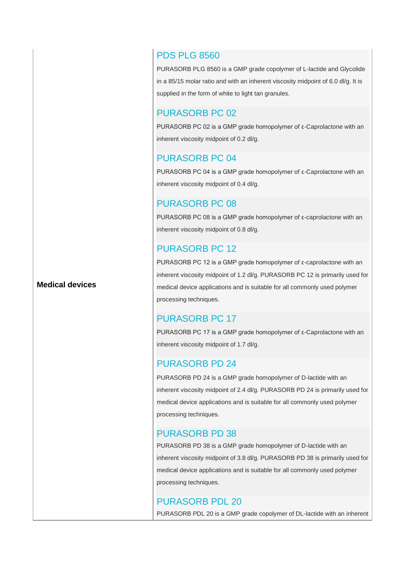## PDS PLG 8560

PURASORB PLG 8560 is a GMP grade copolymer of L-lactide and Glycolide in a 85/15 molar ratio and with an inherent viscosity midpoint of 6.0 dl/g. It is supplied in the form of white to light tan granules.

#### PURASORB PC 02

PURASORB PC 02 is a GMP grade homopolymer of ε-Caprolactone with an inherent viscosity midpoint of 0.2 dl/g.

## PURASORB PC 04

PURASORB PC 04 is a GMP grade homopolymer of ε-Caprolactone with an inherent viscosity midpoint of 0.4 dl/g.

## PURASORB PC 08

PURASORB PC 08 is a GMP grade homopolymer of ε-caprolactone with an inherent viscosity midpoint of 0.8 dl/g.

## PURASORB PC 12

PURASORB PC 12 is a GMP grade homopolymer of ε-caprolactone with an inherent viscosity midpoint of 1.2 dl/g. PURASORB PC 12 is primarily used for medical device applications and is suitable for all commonly used polymer processing techniques.

# PURASORB PC 17

PURASORB PC 17 is a GMP grade homopolymer of ε-Caprolactone with an inherent viscosity midpoint of 1.7 dl/g.

# PURASORB PD 24

PURASORB PD 24 is a GMP grade homopolymer of D-lactide with an inherent viscosity midpoint of 2.4 dl/g. PURASORB PD 24 is primarily used for medical device applications and is suitable for all commonly used polymer processing techniques.

# PURASORB PD 38

PURASORB PD 38 is a GMP grade homopolymer of D-lactide with an inherent viscosity midpoint of 3.8 dl/g. PURASORB PD 38 is primarily used for medical device applications and is suitable for all commonly used polymer processing techniques.

## PURASORB PDL 20

PURASORB PDL 20 is a GMP grade copolymer of DL-lactide with an inherent

#### **Medical devices**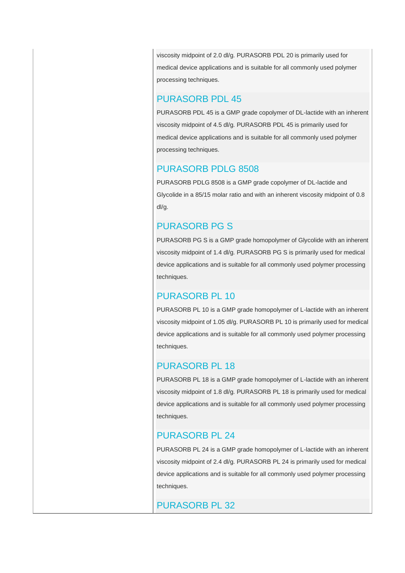viscosity midpoint of 2.0 dl/g. PURASORB PDL 20 is primarily used for medical device applications and is suitable for all commonly used polymer processing techniques.

## PURASORB PDL 45

PURASORB PDL 45 is a GMP grade copolymer of DL-lactide with an inherent viscosity midpoint of 4.5 dl/g. PURASORB PDL 45 is primarily used for medical device applications and is suitable for all commonly used polymer processing techniques.

## PURASORB PDLG 8508

PURASORB PDLG 8508 is a GMP grade copolymer of DL-lactide and Glycolide in a 85/15 molar ratio and with an inherent viscosity midpoint of 0.8 dl/g.

## PURASORB PG S

PURASORB PG S is a GMP grade homopolymer of Glycolide with an inherent viscosity midpoint of 1.4 dl/g. PURASORB PG S is primarily used for medical device applications and is suitable for all commonly used polymer processing techniques.

## PURASORB PL 10

PURASORB PL 10 is a GMP grade homopolymer of L-lactide with an inherent viscosity midpoint of 1.05 dl/g. PURASORB PL 10 is primarily used for medical device applications and is suitable for all commonly used polymer processing techniques.

## PURASORB PL 18

PURASORB PL 18 is a GMP grade homopolymer of L-lactide with an inherent viscosity midpoint of 1.8 dl/g. PURASORB PL 18 is primarily used for medical device applications and is suitable for all commonly used polymer processing techniques.

## PURASORB PL 24

PURASORB PL 24 is a GMP grade homopolymer of L-lactide with an inherent viscosity midpoint of 2.4 dl/g. PURASORB PL 24 is primarily used for medical device applications and is suitable for all commonly used polymer processing techniques.

## PURASORB PL 32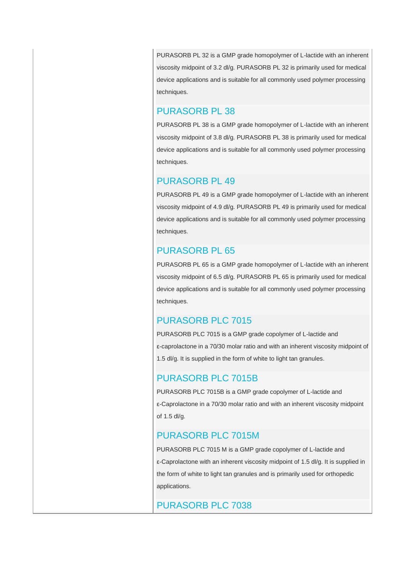PURASORB PL 32 is a GMP grade homopolymer of L-lactide with an inherent viscosity midpoint of 3.2 dl/g. PURASORB PL 32 is primarily used for medical device applications and is suitable for all commonly used polymer processing techniques.

#### PURASORB PL 38

PURASORB PL 38 is a GMP grade homopolymer of L-lactide with an inherent viscosity midpoint of 3.8 dl/g. PURASORB PL 38 is primarily used for medical device applications and is suitable for all commonly used polymer processing techniques.

## PURASORB PL 49

PURASORB PL 49 is a GMP grade homopolymer of L-lactide with an inherent viscosity midpoint of 4.9 dl/g. PURASORB PL 49 is primarily used for medical device applications and is suitable for all commonly used polymer processing techniques.

## PURASORB PL 65

PURASORB PL 65 is a GMP grade homopolymer of L-lactide with an inherent viscosity midpoint of 6.5 dl/g. PURASORB PL 65 is primarily used for medical device applications and is suitable for all commonly used polymer processing techniques.

# PURASORB PLC 7015

PURASORB PLC 7015 is a GMP grade copolymer of L-lactide and ε-caprolactone in a 70/30 molar ratio and with an inherent viscosity midpoint of 1.5 dl/g. It is supplied in the form of white to light tan granules.

# PURASORB PLC 7015B

PURASORB PLC 7015B is a GMP grade copolymer of L-lactide and ε-Caprolactone in a 70/30 molar ratio and with an inherent viscosity midpoint of 1.5 dl/g.

## PURASORB PLC 7015M

PURASORB PLC 7015 M is a GMP grade copolymer of L-lactide and ε-Caprolactone with an inherent viscosity midpoint of 1.5 dl/g. It is supplied in the form of white to light tan granules and is primarily used for orthopedic applications.

## PURASORB PLC 7038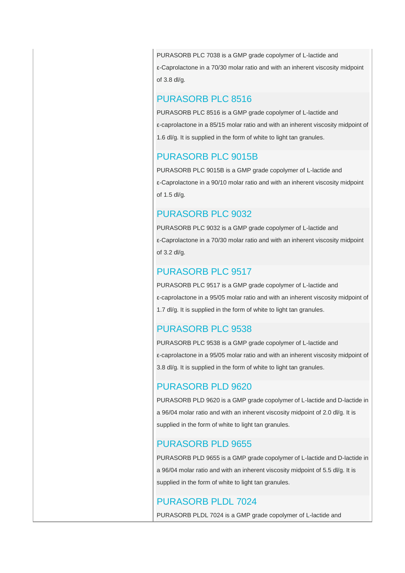PURASORB PLC 7038 is a GMP grade copolymer of L-lactide and ε-Caprolactone in a 70/30 molar ratio and with an inherent viscosity midpoint of 3.8 dl/g.

#### PURASORB PLC 8516

PURASORB PLC 8516 is a GMP grade copolymer of L-lactide and ε-caprolactone in a 85/15 molar ratio and with an inherent viscosity midpoint of 1.6 dl/g. It is supplied in the form of white to light tan granules.

## PURASORB PLC 9015B

PURASORB PLC 9015B is a GMP grade copolymer of L-lactide and ε-Caprolactone in a 90/10 molar ratio and with an inherent viscosity midpoint of 1.5 dl/g.

## PURASORB PLC 9032

PURASORB PLC 9032 is a GMP grade copolymer of L-lactide and ε-Caprolactone in a 70/30 molar ratio and with an inherent viscosity midpoint of 3.2 dl/g.

## PURASORB PLC 9517

PURASORB PLC 9517 is a GMP grade copolymer of L-lactide and ε-caprolactone in a 95/05 molar ratio and with an inherent viscosity midpoint of 1.7 dl/g. It is supplied in the form of white to light tan granules.

# PURASORB PLC 9538

PURASORB PLC 9538 is a GMP grade copolymer of L-lactide and ε-caprolactone in a 95/05 molar ratio and with an inherent viscosity midpoint of 3.8 dl/g. It is supplied in the form of white to light tan granules.

# PURASORB PLD 9620

PURASORB PLD 9620 is a GMP grade copolymer of L-lactide and D-lactide in a 96/04 molar ratio and with an inherent viscosity midpoint of 2.0 dl/g. It is supplied in the form of white to light tan granules.

## PURASORB PLD 9655

PURASORB PLD 9655 is a GMP grade copolymer of L-lactide and D-lactide in a 96/04 molar ratio and with an inherent viscosity midpoint of 5.5 dl/g. It is supplied in the form of white to light tan granules.

## PURASORB PLDL 7024

PURASORB PLDL 7024 is a GMP grade copolymer of L-lactide and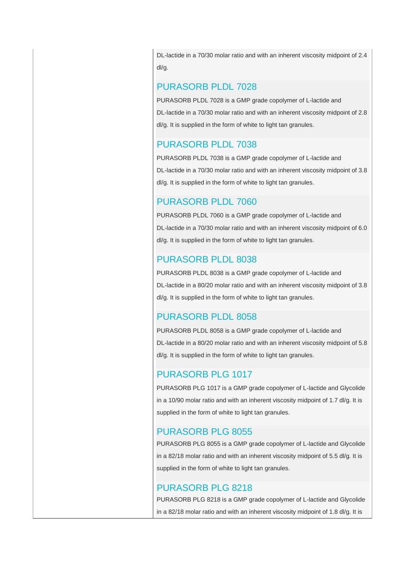DL-lactide in a 70/30 molar ratio and with an inherent viscosity midpoint of 2.4 dl/g.

#### PURASORB PLDL 7028

PURASORB PLDL 7028 is a GMP grade copolymer of L-lactide and DL-lactide in a 70/30 molar ratio and with an inherent viscosity midpoint of 2.8 dl/g. It is supplied in the form of white to light tan granules.

## PURASORB PLDL 7038

PURASORB PLDL 7038 is a GMP grade copolymer of L-lactide and DL-lactide in a 70/30 molar ratio and with an inherent viscosity midpoint of 3.8 dl/g. It is supplied in the form of white to light tan granules.

## PURASORB PLDL 7060

PURASORB PLDL 7060 is a GMP grade copolymer of L-lactide and DL-lactide in a 70/30 molar ratio and with an inherent viscosity midpoint of 6.0 dl/g. It is supplied in the form of white to light tan granules.

## PURASORB PLDL 8038

PURASORB PLDL 8038 is a GMP grade copolymer of L-lactide and DL-lactide in a 80/20 molar ratio and with an inherent viscosity midpoint of 3.8 dl/g. It is supplied in the form of white to light tan granules.

## PURASORB PLDL 8058

PURASORB PLDL 8058 is a GMP grade copolymer of L-lactide and DL-lactide in a 80/20 molar ratio and with an inherent viscosity midpoint of 5.8 dl/g. It is supplied in the form of white to light tan granules.

# PURASORB PLG 1017

PURASORB PLG 1017 is a GMP grade copolymer of L-lactide and Glycolide in a 10/90 molar ratio and with an inherent viscosity midpoint of 1.7 dl/g. It is supplied in the form of white to light tan granules.

## PURASORB PLG 8055

PURASORB PLG 8055 is a GMP grade copolymer of L-lactide and Glycolide in a 82/18 molar ratio and with an inherent viscosity midpoint of 5.5 dl/g. It is supplied in the form of white to light tan granules.

## PURASORB PLG 8218

PURASORB PLG 8218 is a GMP grade copolymer of L-lactide and Glycolide in a 82/18 molar ratio and with an inherent viscosity midpoint of 1.8 dl/g. It is